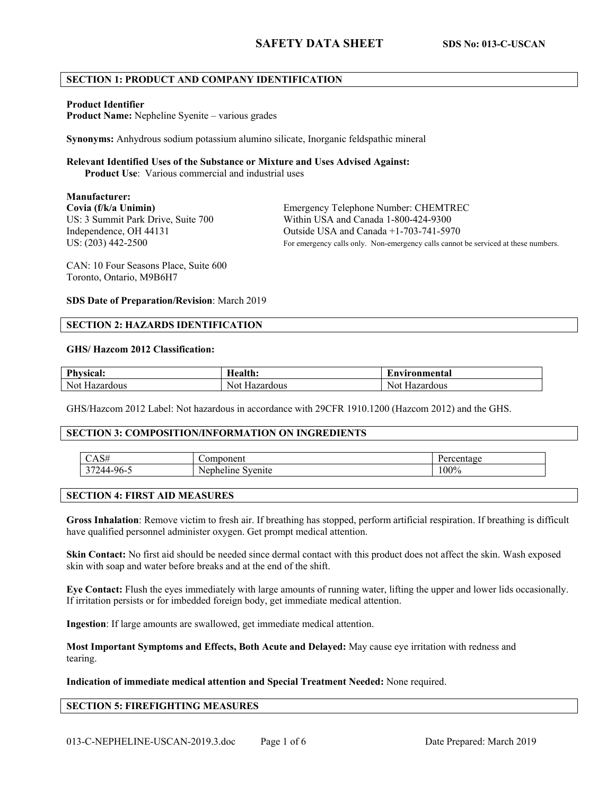## **SECTION 1: PRODUCT AND COMPANY IDENTIFICATION**

#### **Product Identifier**

**Product Name:** Nepheline Syenite – various grades

**Synonyms:** Anhydrous sodium potassium alumino silicate, Inorganic feldspathic mineral

#### **Relevant Identified Uses of the Substance or Mixture and Uses Advised Against:**

**Product Use**: Various commercial and industrial uses

# **Manufacturer:**

**Covia (f/k/a Unimin)** Emergency Telephone Number: CHEMTREC US: 3 Summit Park Drive, Suite 700 Within USA and Canada 1-800-424-9300 Independence, OH 44131 Outside USA and Canada +1-703-741-5970 US:  $(203)$  442-2500 For emergency calls only. Non-emergency calls cannot be serviced at these numbers.

CAN: 10 Four Seasons Place, Suite 600 Toronto, Ontario, M9B6H7

**SDS Date of Preparation/Revision**: March 2019

## **SECTION 2: HAZARDS IDENTIFICATION**

#### **GHS/ Hazcom 2012 Classification:**

| Dh<br>$\mathbf{a}$<br>ncan | [ealth:                     | 'nvironmental           |
|----------------------------|-----------------------------|-------------------------|
| <b>Not</b><br>1azardous    | $\cdots$<br>ızardous<br>NOI | Nov.<br>∵zardı<br>rdous |

GHS/Hazcom 2012 Label: Not hazardous in accordance with 29CFR 1910.1200 (Hazcom 2012) and the GHS.

## **SECTION 3: COMPOSITION/INFORMATION ON INGREDIENTS**

|                              | $\sim$ $\sim$<br>чеш.<br>$\mathbf{v}$ |         |
|------------------------------|---------------------------------------|---------|
| $\sim$ $\sim$<br>'44<br>---- | epheline<br>100117<br>N 6<br>сшк      | $100\%$ |

## **SECTION 4: FIRST AID MEASURES**

**Gross Inhalation**: Remove victim to fresh air. If breathing has stopped, perform artificial respiration. If breathing is difficult have qualified personnel administer oxygen. Get prompt medical attention.

**Skin Contact:** No first aid should be needed since dermal contact with this product does not affect the skin. Wash exposed skin with soap and water before breaks and at the end of the shift.

**Eye Contact:** Flush the eyes immediately with large amounts of running water, lifting the upper and lower lids occasionally. If irritation persists or for imbedded foreign body, get immediate medical attention.

**Ingestion**: If large amounts are swallowed, get immediate medical attention.

**Most Important Symptoms and Effects, Both Acute and Delayed:** May cause eye irritation with redness and tearing.

**Indication of immediate medical attention and Special Treatment Needed:** None required.

## **SECTION 5: FIREFIGHTING MEASURES**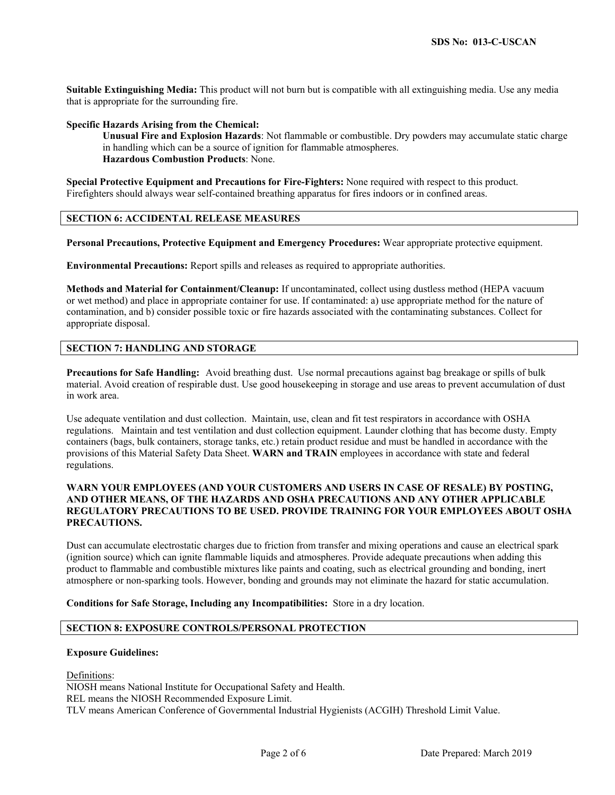**Suitable Extinguishing Media:** This product will not burn but is compatible with all extinguishing media. Use any media that is appropriate for the surrounding fire.

#### **Specific Hazards Arising from the Chemical:**

**Unusual Fire and Explosion Hazards**: Not flammable or combustible. Dry powders may accumulate static charge in handling which can be a source of ignition for flammable atmospheres. **Hazardous Combustion Products**: None.

**Special Protective Equipment and Precautions for Fire-Fighters:** None required with respect to this product. Firefighters should always wear self-contained breathing apparatus for fires indoors or in confined areas.

## **SECTION 6: ACCIDENTAL RELEASE MEASURES**

**Personal Precautions, Protective Equipment and Emergency Procedures:** Wear appropriate protective equipment.

**Environmental Precautions:** Report spills and releases as required to appropriate authorities.

**Methods and Material for Containment/Cleanup:** If uncontaminated, collect using dustless method (HEPA vacuum or wet method) and place in appropriate container for use. If contaminated: a) use appropriate method for the nature of contamination, and b) consider possible toxic or fire hazards associated with the contaminating substances. Collect for appropriate disposal.

## **SECTION 7: HANDLING AND STORAGE**

**Precautions for Safe Handling:** Avoid breathing dust. Use normal precautions against bag breakage or spills of bulk material. Avoid creation of respirable dust. Use good housekeeping in storage and use areas to prevent accumulation of dust in work area.

Use adequate ventilation and dust collection. Maintain, use, clean and fit test respirators in accordance with OSHA regulations. Maintain and test ventilation and dust collection equipment. Launder clothing that has become dusty. Empty containers (bags, bulk containers, storage tanks, etc.) retain product residue and must be handled in accordance with the provisions of this Material Safety Data Sheet. **WARN and TRAIN** employees in accordance with state and federal regulations.

## **WARN YOUR EMPLOYEES (AND YOUR CUSTOMERS AND USERS IN CASE OF RESALE) BY POSTING, AND OTHER MEANS, OF THE HAZARDS AND OSHA PRECAUTIONS AND ANY OTHER APPLICABLE REGULATORY PRECAUTIONS TO BE USED. PROVIDE TRAINING FOR YOUR EMPLOYEES ABOUT OSHA PRECAUTIONS.**

Dust can accumulate electrostatic charges due to friction from transfer and mixing operations and cause an electrical spark (ignition source) which can ignite flammable liquids and atmospheres. Provide adequate precautions when adding this product to flammable and combustible mixtures like paints and coating, such as electrical grounding and bonding, inert atmosphere or non-sparking tools. However, bonding and grounds may not eliminate the hazard for static accumulation.

**Conditions for Safe Storage, Including any Incompatibilities:** Store in a dry location.

## **SECTION 8: EXPOSURE CONTROLS/PERSONAL PROTECTION**

#### **Exposure Guidelines:**

Definitions: NIOSH means National Institute for Occupational Safety and Health. REL means the NIOSH Recommended Exposure Limit. TLV means American Conference of Governmental Industrial Hygienists (ACGIH) Threshold Limit Value.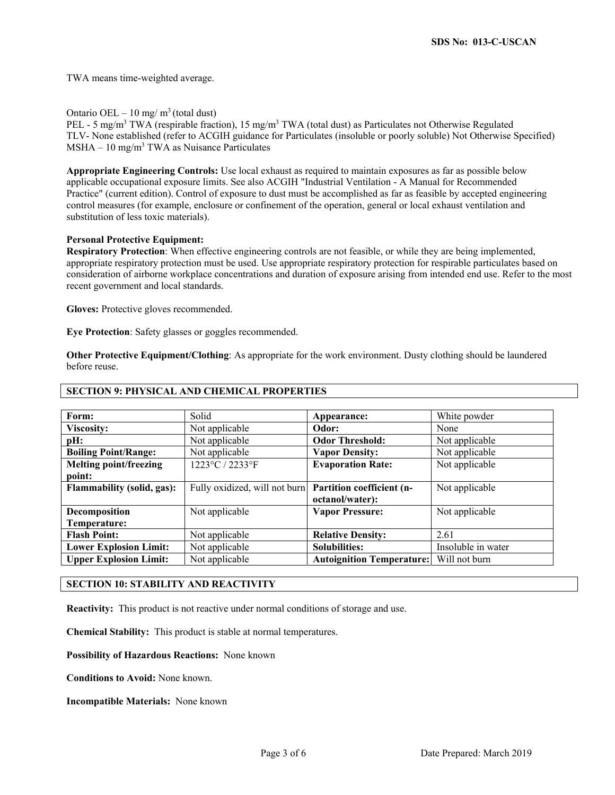TWA means time-weighted average.

Ontario OEL – 10 mg/ $m<sup>3</sup>$  (total dust)

PEL - 5 mg/m<sup>3</sup> TWA (respirable fraction), 15 mg/m<sup>3</sup> TWA (total dust) as Particulates not Otherwise Regulated TLV- None established (refer to ACGIH guidance for Particulates (insoluble or poorly soluble) Not Otherwise Specified)  $MSHA - 10$  mg/m<sup>3</sup> TWA as Nuisance Particulates

**Appropriate Engineering Controls:** Use local exhaust as required to maintain exposures as far as possible below applicable occupational exposure limits. See also ACGIH "Industrial Ventilation - A Manual for Recommended Practice" (current edition). Control of exposure to dust must be accomplished as far as feasible by accepted engineering control measures (for example, enclosure or confinement of the operation, general or local exhaust ventilation and substitution of less toxic materials).

### **Personal Protective Equipment:**

**Respiratory Protection**: When effective engineering controls are not feasible, or while they are being implemented, appropriate respiratory protection must be used. Use appropriate respiratory protection for respirable particulates based on consideration of airborne workplace concentrations and duration of exposure arising from intended end use. Refer to the most recent government and local standards.

**Gloves:** Protective gloves recommended.

**Eye Protection**: Safety glasses or goggles recommended.

**Other Protective Equipment/Clothing**: As appropriate for the work environment. Dusty clothing should be laundered before reuse.

| Form:                             | Solid                         | Appearance:                      | White powder       |
|-----------------------------------|-------------------------------|----------------------------------|--------------------|
| <b>Viscosity:</b>                 | Not applicable                | Odor:                            | None               |
| pH:                               | Not applicable                | <b>Odor Threshold:</b>           | Not applicable     |
| <b>Boiling Point/Range:</b>       | Not applicable                | <b>Vapor Density:</b>            | Not applicable     |
| <b>Melting point/freezing</b>     | 1223°C / 2233°F               | <b>Evaporation Rate:</b>         | Not applicable     |
| point:                            |                               |                                  |                    |
| <b>Flammability (solid, gas):</b> | Fully oxidized, will not burn | Partition coefficient (n-        | Not applicable     |
|                                   |                               | octanol/water):                  |                    |
| Decomposition                     | Not applicable                | <b>Vapor Pressure:</b>           | Not applicable     |
| Temperature:                      |                               |                                  |                    |
| <b>Flash Point:</b>               | Not applicable                | <b>Relative Density:</b>         | 2.61               |
| <b>Lower Explosion Limit:</b>     | Not applicable                | <b>Solubilities:</b>             | Insoluble in water |
| <b>Upper Explosion Limit:</b>     | Not applicable                | <b>Autoignition Temperature:</b> | Will not burn      |

## **SECTION 9: PHYSICAL AND CHEMICAL PROPERTIES**

#### **SECTION 10: STABILITY AND REACTIVITY**

**Reactivity:** This product is not reactive under normal conditions of storage and use.

**Chemical Stability:** This product is stable at normal temperatures.

**Possibility of Hazardous Reactions:** None known

**Conditions to Avoid:** None known.

**Incompatible Materials:** None known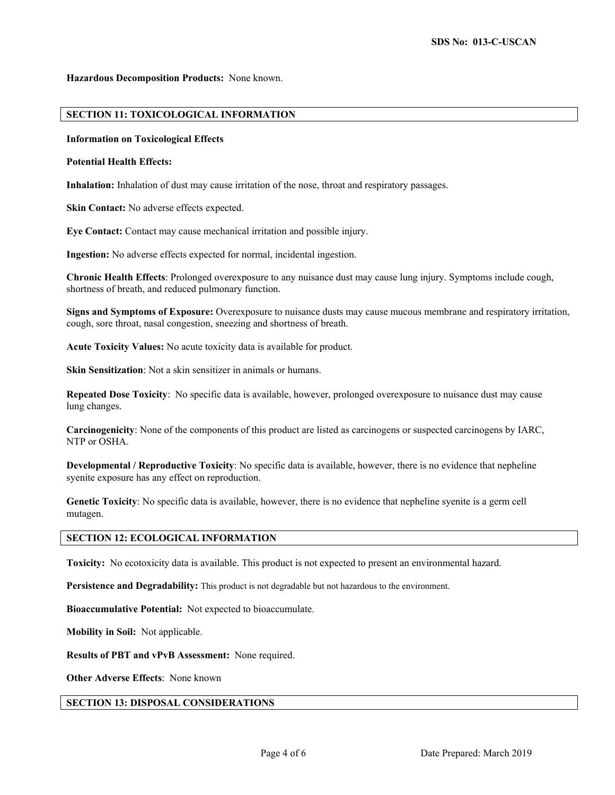#### **Hazardous Decomposition Products:** None known.

## **SECTION 11: TOXICOLOGICAL INFORMATION**

### **Information on Toxicological Effects**

#### **Potential Health Effects:**

**Inhalation:** Inhalation of dust may cause irritation of the nose, throat and respiratory passages.

**Skin Contact:** No adverse effects expected.

**Eye Contact:** Contact may cause mechanical irritation and possible injury.

**Ingestion:** No adverse effects expected for normal, incidental ingestion.

**Chronic Health Effects**: Prolonged overexposure to any nuisance dust may cause lung injury. Symptoms include cough, shortness of breath, and reduced pulmonary function.

**Signs and Symptoms of Exposure:** Overexposure to nuisance dusts may cause mucous membrane and respiratory irritation, cough, sore throat, nasal congestion, sneezing and shortness of breath.

**Acute Toxicity Values:** No acute toxicity data is available for product.

**Skin Sensitization**: Not a skin sensitizer in animals or humans.

**Repeated Dose Toxicity**: No specific data is available, however, prolonged overexposure to nuisance dust may cause lung changes.

**Carcinogenicity**: None of the components of this product are listed as carcinogens or suspected carcinogens by IARC, NTP or OSHA.

**Developmental / Reproductive Toxicity**: No specific data is available, however, there is no evidence that nepheline syenite exposure has any effect on reproduction.

**Genetic Toxicity**: No specific data is available, however, there is no evidence that nepheline syenite is a germ cell mutagen.

### **SECTION 12: ECOLOGICAL INFORMATION**

**Toxicity:** No ecotoxicity data is available. This product is not expected to present an environmental hazard.

**Persistence and Degradability:** This product is not degradable but not hazardous to the environment.

**Bioaccumulative Potential:** Not expected to bioaccumulate.

**Mobility in Soil:** Not applicable.

**Results of PBT and vPvB Assessment:** None required.

**Other Adverse Effects**: None known

#### **SECTION 13: DISPOSAL CONSIDERATIONS**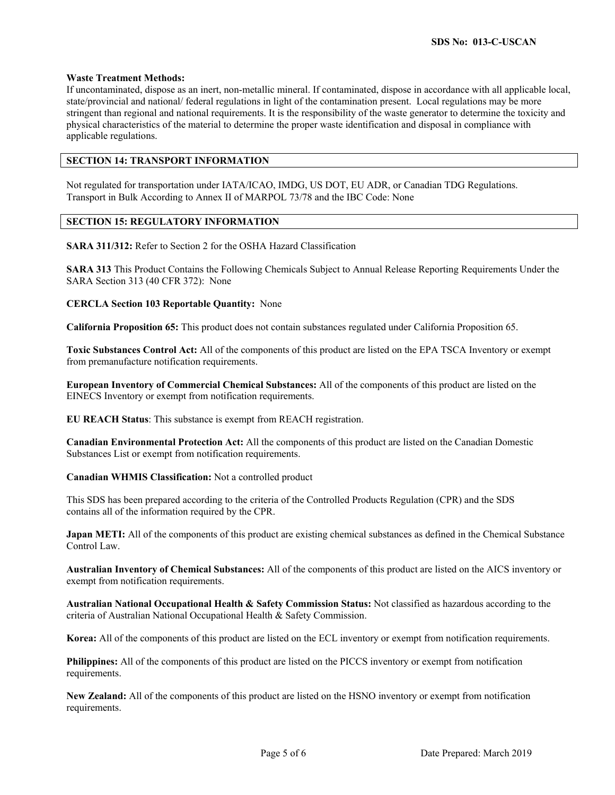### **Waste Treatment Methods:**

If uncontaminated, dispose as an inert, non-metallic mineral. If contaminated, dispose in accordance with all applicable local, state/provincial and national/ federal regulations in light of the contamination present. Local regulations may be more stringent than regional and national requirements. It is the responsibility of the waste generator to determine the toxicity and physical characteristics of the material to determine the proper waste identification and disposal in compliance with applicable regulations.

# **SECTION 14: TRANSPORT INFORMATION**

Not regulated for transportation under IATA/ICAO, IMDG, US DOT, EU ADR, or Canadian TDG Regulations. Transport in Bulk According to Annex II of MARPOL 73/78 and the IBC Code: None

### **SECTION 15: REGULATORY INFORMATION**

**SARA 311/312:** Refer to Section 2 for the OSHA Hazard Classification

**SARA 313** This Product Contains the Following Chemicals Subject to Annual Release Reporting Requirements Under the SARA Section 313 (40 CFR 372): None

#### **CERCLA Section 103 Reportable Quantity:** None

**California Proposition 65:** This product does not contain substances regulated under California Proposition 65.

**Toxic Substances Control Act:** All of the components of this product are listed on the EPA TSCA Inventory or exempt from premanufacture notification requirements.

**European Inventory of Commercial Chemical Substances:** All of the components of this product are listed on the EINECS Inventory or exempt from notification requirements.

**EU REACH Status**: This substance is exempt from REACH registration.

**Canadian Environmental Protection Act:** All the components of this product are listed on the Canadian Domestic Substances List or exempt from notification requirements.

**Canadian WHMIS Classification:** Not a controlled product

This SDS has been prepared according to the criteria of the Controlled Products Regulation (CPR) and the SDS contains all of the information required by the CPR.

**Japan METI:** All of the components of this product are existing chemical substances as defined in the Chemical Substance Control Law.

**Australian Inventory of Chemical Substances:** All of the components of this product are listed on the AICS inventory or exempt from notification requirements.

**Australian National Occupational Health & Safety Commission Status:** Not classified as hazardous according to the criteria of Australian National Occupational Health & Safety Commission.

**Korea:** All of the components of this product are listed on the ECL inventory or exempt from notification requirements.

**Philippines:** All of the components of this product are listed on the PICCS inventory or exempt from notification requirements.

**New Zealand:** All of the components of this product are listed on the HSNO inventory or exempt from notification requirements.